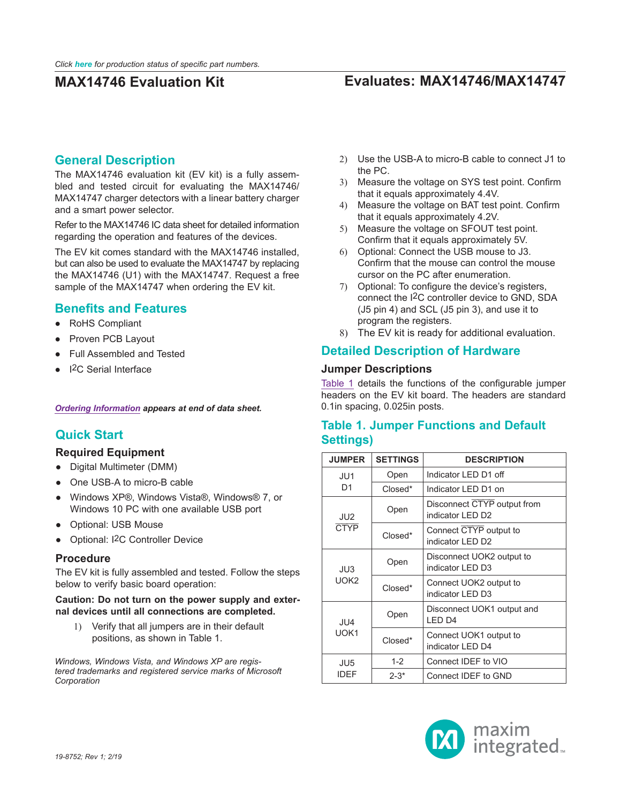# **MAX14746 Evaluation Kit Evaluates: MAX14746/MAX14747**

## **General Description**

The MAX14746 evaluation kit (EV kit) is a fully assembled and tested circuit for evaluating the MAX14746/ MAX14747 charger detectors with a linear battery charger and a smart power selector.

Refer to the MAX14746 IC data sheet for detailed information regarding the operation and features of the devices.

The EV kit comes standard with the MAX14746 installed, but can also be used to evaluate the MAX14747 by replacing the MAX14746 (U1) with the MAX14747. Request a free sample of the MAX14747 when ordering the EV kit.

## **Benefits and Features**

- RoHS Compliant
- Proven PCB Layout
- **Full Assembled and Tested**
- **I2C Serial Interface**

*[Ordering Information](#page-2-0) appears at end of data sheet.*

## **Quick Start**

### **Required Equipment**

- Digital Multimeter (DMM)
- One USB-A to micro-B cable
- Windows XP®, Windows Vista®, Windows® 7, or Windows 10 PC with one available USB port
- Optional: USB Mouse
- Optional: I<sup>2</sup>C Controller Device

### **Procedure**

The EV kit is fully assembled and tested. Follow the steps below to verify basic board operation:

### **Caution: Do not turn on the power supply and external devices until all connections are completed.**

1) Verify that all jumpers are in their default positions, as shown in Table 1.

*Windows, Windows Vista, and Windows XP are registered trademarks and registered service marks of Microsoft Corporation*

- 2) Use the USB-A to micro-B cable to connect J1 to the PC.
- 3) Measure the voltage on SYS test point. Confirm that it equals approximately 4.4V.
- 4) Measure the voltage on BAT test point. Confirm that it equals approximately 4.2V.
- 5) Measure the voltage on SFOUT test point. Confirm that it equals approximately 5V.
- 6) Optional: Connect the USB mouse to J3. Confirm that the mouse can control the mouse cursor on the PC after enumeration.
- 7) Optional: To configure the device's registers, connect the I2C controller device to GND, SDA (J5 pin 4) and SCL (J5 pin 3), and use it to program the registers.
- 8) The EV kit is ready for additional evaluation.

## **Detailed Description of Hardware**

### **Jumper Descriptions**

[Table 1](#page-0-0) details the functions of the configurable jumper headers on the EV kit board. The headers are standard 0.1in spacing, 0.025in posts.

## <span id="page-0-0"></span>**Table 1. Jumper Functions and Default Settings)**

| <b>JUMPER</b>                  | <b>SETTINGS</b> | <b>DESCRIPTION</b>                               |  |  |
|--------------------------------|-----------------|--------------------------------------------------|--|--|
| JU1                            | Open            | Indicator LED D1 off                             |  |  |
| D <sub>1</sub>                 | Closed*         | Indicator LED D1 on                              |  |  |
| JU <sub>2</sub><br><b>CTYP</b> | Open            | Disconnect CTYP output from<br>indicator I FD D2 |  |  |
|                                | Closed*         | Connect CTYP output to<br>indicator LED D2       |  |  |
| JU3<br>UOK <sub>2</sub>        | Open            | Disconnect UOK2 output to<br>indicator LED D3    |  |  |
|                                | Closed*         | Connect UOK2 output to<br>indicator LED D3       |  |  |
| JU4                            | Open            | Disconnect UOK1 output and<br>LED <sub>D4</sub>  |  |  |
| UOK1                           | Closed*         | Connect UOK1 output to<br>indicator LED D4       |  |  |
| JU <sub>5</sub>                | $1 - 2$         | Connect IDEF to VIO                              |  |  |
| <b>IDEF</b>                    | $2 - 3^*$       | Connect IDEF to GND                              |  |  |

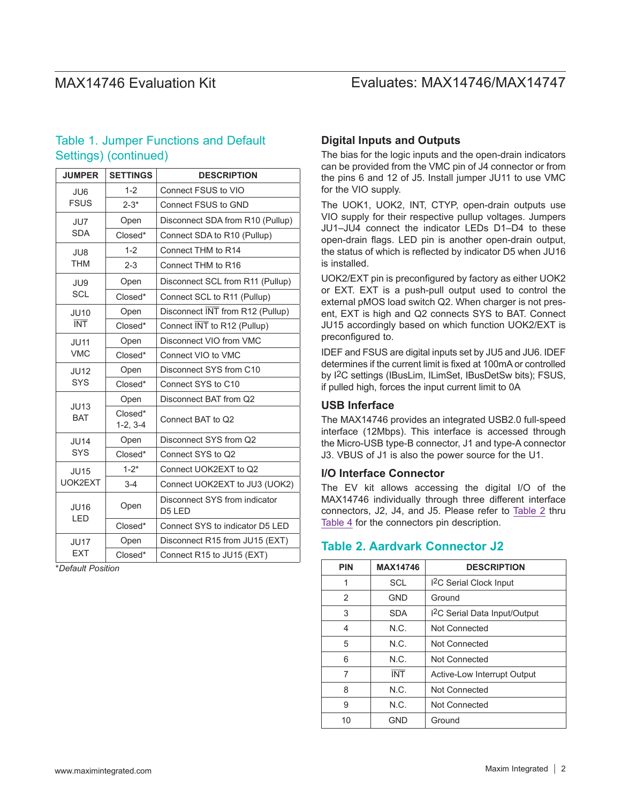## MAX14746 Evaluation Kit Evaluates: MAX14746/MAX14747

## Table 1. Jumper Functions and Default Settings) (continued)

| <b>JUMPER</b>      | <b>SETTINGS</b>       | <b>DESCRIPTION</b>                      |  |  |  |  |
|--------------------|-----------------------|-----------------------------------------|--|--|--|--|
| JU6                | $1 - 2$               | Connect FSUS to VIO                     |  |  |  |  |
| <b>FSUS</b>        | $2 - 3*$              | Connect FSUS to GND                     |  |  |  |  |
| JU7                | Open                  | Disconnect SDA from R10 (Pullup)        |  |  |  |  |
| <b>SDA</b>         | Closed*               | Connect SDA to R10 (Pullup)             |  |  |  |  |
| JU8                | $1 - 2$               | Connect THM to R14                      |  |  |  |  |
| <b>THM</b>         | $2 - 3$               | Connect THM to R16                      |  |  |  |  |
| JU9                | Open                  | Disconnect SCL from R11 (Pullup)        |  |  |  |  |
| <b>SCL</b>         | Closed*               | Connect SCL to R11 (Pullup)             |  |  |  |  |
| <b>JU10</b>        | Open                  | Disconnect INT from R12 (Pullup)        |  |  |  |  |
| <b>INT</b>         | Closed*               | Connect INT to R12 (Pullup)             |  |  |  |  |
| <b>JU11</b>        | Open                  | Disconnect VIO from VMC                 |  |  |  |  |
| <b>VMC</b>         | Closed*               | Connect VIO to VMC                      |  |  |  |  |
| <b>JU12</b>        | Open                  | Disconnect SYS from C10                 |  |  |  |  |
| <b>SYS</b>         | Closed*               | Connect SYS to C10                      |  |  |  |  |
| <b>JU13</b>        | Open                  | Disconnect BAT from Q2                  |  |  |  |  |
| <b>BAT</b>         | Closed*<br>$1-2, 3-4$ | Connect BAT to Q2                       |  |  |  |  |
| <b>JU14</b>        | Open                  | Disconnect SYS from Q2                  |  |  |  |  |
| <b>SYS</b>         | Closed*               | Connect SYS to Q2                       |  |  |  |  |
| <b>JU15</b>        | $1 - 2^*$             | Connect UOK2EXT to Q2                   |  |  |  |  |
| UOK2EXT            | $3 - 4$               | Connect UOK2EXT to JU3 (UOK2)           |  |  |  |  |
| <b>JU16</b><br>LED | Open                  | Disconnect SYS from indicator<br>D5 LED |  |  |  |  |
|                    | Closed*               | Connect SYS to indicator D5 LED         |  |  |  |  |
| <b>JU17</b>        | Open                  | Disconnect R15 from JU15 (EXT)          |  |  |  |  |
| <b>EXT</b>         | Closed*               | Connect R15 to JU15 (EXT)               |  |  |  |  |

 $*$ *Default Position* 

## **Digital Inputs and Outputs**

The bias for the logic inputs and the open-drain indicators can be provided from the VMC pin of J4 connector or from the pins 6 and 12 of J5. Install jumper JU11 to use VMC for the VIO supply.

The UOK1, UOK2, INT, CTYP, open-drain outputs use VIO supply for their respective pullup voltages. Jumpers JU1–JU4 connect the indicator LEDs D1–D4 to these open-drain flags. LED pin is another open-drain output, the status of which is reflected by indicator D5 when JU16 is installed.

UOK2/EXT pin is preconfigured by factory as either UOK2 or EXT. EXT is a push-pull output used to control the external pMOS load switch Q2. When charger is not present, EXT is high and Q2 connects SYS to BAT. Connect JU15 accordingly based on which function UOK2/EXT is preconfigured to.

IDEF and FSUS are digital inputs set by JU5 and JU6. IDEF determines if the current limit is fixed at 100mA or controlled by I2C settings (IBusLim, ILimSet, IBusDetSw bits); FSUS, if pulled high, forces the input current limit to 0A

## **USB Inferface**

The MAX14746 provides an integrated USB2.0 full-speed interface (12Mbps). This interface is accessed through the Micro-USB type-B connector, J1 and type-A connector J3. VBUS of J1 is also the power source for the U1.

### **I/O Interface Connector**

The EV kit allows accessing the digital I/O of the MAX14746 individually through three different interface connectors, J2, J4, and J5. Please refer to [Table 2](#page-1-0) thru [Table 4](#page-2-1) for the connectors pin description.

## <span id="page-1-0"></span>**Table 2. Aardvark Connector J2**

| <b>PIN</b> | <b>MAX14746</b> | <b>DESCRIPTION</b>                        |  |  |  |  |  |
|------------|-----------------|-------------------------------------------|--|--|--|--|--|
| 1          | SCL             | I <sup>2</sup> C Serial Clock Input       |  |  |  |  |  |
| 2          | <b>GND</b>      | Ground                                    |  |  |  |  |  |
| 3          | <b>SDA</b>      | I <sup>2</sup> C Serial Data Input/Output |  |  |  |  |  |
| 4          | N.C.            | Not Connected                             |  |  |  |  |  |
| 5          | N.C.            | Not Connected                             |  |  |  |  |  |
| 6          | N.C.            | Not Connected                             |  |  |  |  |  |
| 7          | <b>INT</b>      | Active-Low Interrupt Output               |  |  |  |  |  |
| 8          | N.C.            | <b>Not Connected</b>                      |  |  |  |  |  |
| 9          | N.C.            | Not Connected                             |  |  |  |  |  |
| 10         | <b>GND</b>      | Ground                                    |  |  |  |  |  |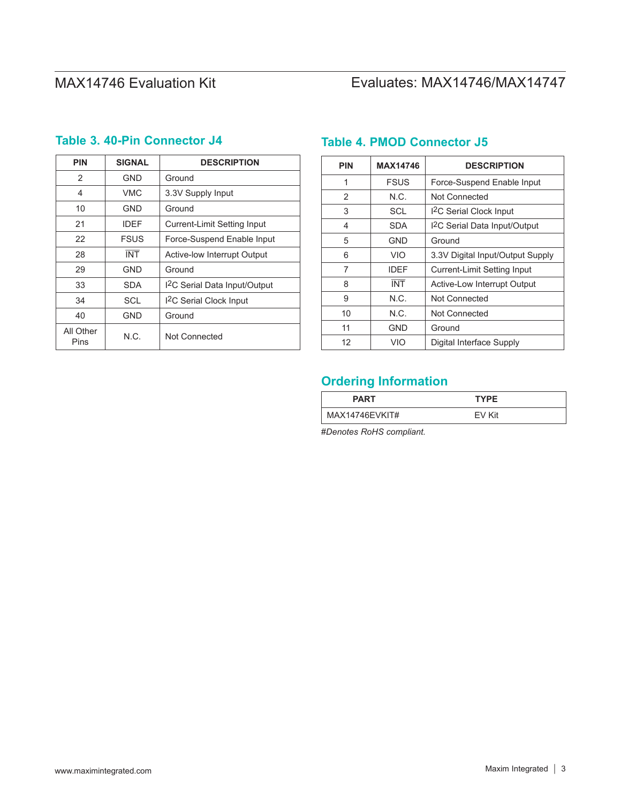# MAX14746 Evaluation Kit
Evaluates: MAX14746/MAX14747

| <b>PIN</b>        | <b>SIGNAL</b> | <b>DESCRIPTION</b>                        |  |  |  |  |  |
|-------------------|---------------|-------------------------------------------|--|--|--|--|--|
| 2                 | <b>GND</b>    | Ground                                    |  |  |  |  |  |
| 4                 | VMC           | 3.3V Supply Input                         |  |  |  |  |  |
| 10                | <b>GND</b>    | Ground                                    |  |  |  |  |  |
| 21                | <b>IDEF</b>   | <b>Current-Limit Setting Input</b>        |  |  |  |  |  |
| 22                | <b>FSUS</b>   | Force-Suspend Enable Input                |  |  |  |  |  |
| 28                | <b>INT</b>    | Active-low Interrupt Output               |  |  |  |  |  |
| 29                | <b>GND</b>    | Ground                                    |  |  |  |  |  |
| 33                | SDA           | I <sup>2</sup> C Serial Data Input/Output |  |  |  |  |  |
| 34                | SCL           | <sup>12</sup> C Serial Clock Input        |  |  |  |  |  |
| 40                | <b>GND</b>    | Ground                                    |  |  |  |  |  |
| All Other<br>Pins | N.C.          | Not Connected                             |  |  |  |  |  |

## **Table 3. 40-Pin Connector J4 Table 4. PMOD Connector J5**

<span id="page-2-1"></span>

| <b>PIN</b> | <b>MAX14746</b> | <b>DESCRIPTION</b>                       |  |  |  |  |
|------------|-----------------|------------------------------------------|--|--|--|--|
| 1          | <b>FSUS</b>     | Force-Suspend Enable Input               |  |  |  |  |
| 2          | N.C.            | Not Connected                            |  |  |  |  |
| 3          | SCL             | I <sup>2</sup> C Serial Clock Input      |  |  |  |  |
| 4          | <b>SDA</b>      | <sup>12</sup> C Serial Data Input/Output |  |  |  |  |
| 5          | <b>GND</b>      | Ground                                   |  |  |  |  |
| 6          | VIO             | 3.3V Digital Input/Output Supply         |  |  |  |  |
| 7          | <b>IDFF</b>     | <b>Current-Limit Setting Input</b>       |  |  |  |  |
| 8          | <b>INT</b>      | Active-Low Interrupt Output              |  |  |  |  |
| 9          | N.C.            | Not Connected                            |  |  |  |  |
| 10         | N.C.            | <b>Not Connected</b>                     |  |  |  |  |
| 11         | <b>GND</b>      | Ground                                   |  |  |  |  |
| 12         | VIO             | Digital Interface Supply                 |  |  |  |  |

# <span id="page-2-0"></span>**Ordering Information**

| <b>PART</b>    | <b>TYPE</b> |
|----------------|-------------|
| MAX14746EVKIT# | FV Kit      |

#*Denotes RoHS compliant.*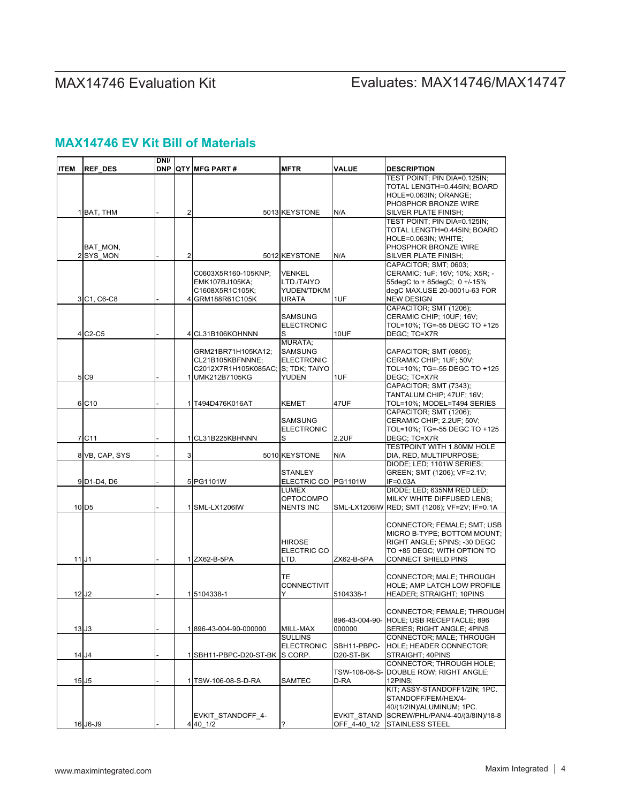# MAX14746 Evaluation Kit
Evaluates: MAX14746/MAX14747

## **MAX14746 EV Kit Bill of Materials**

| <b>ITEM</b> | <b>REF DES</b>                   | DNI/ |                | <b>DNP QTY MFG PART #</b>          | <b>MFTR</b>         | <b>VALUE</b>             | <b>DESCRIPTION</b>                                         |
|-------------|----------------------------------|------|----------------|------------------------------------|---------------------|--------------------------|------------------------------------------------------------|
|             |                                  |      |                |                                    |                     |                          | TEST POINT; PIN DIA=0.125IN;                               |
|             |                                  |      |                |                                    |                     |                          | TOTAL LENGTH=0.445IN; BOARD                                |
|             |                                  |      |                |                                    |                     |                          | HOLE=0.063IN; ORANGE;                                      |
|             |                                  |      |                |                                    |                     |                          | PHOSPHOR BRONZE WIRE                                       |
|             | 1 BAT. THM                       |      | $\overline{2}$ |                                    | 5013 KEYSTONE       | N/A                      | <b>SILVER PLATE FINISH:</b>                                |
|             |                                  |      |                |                                    |                     |                          | TEST POINT: PIN DIA=0.125IN:                               |
|             |                                  |      |                |                                    |                     |                          | TOTAL LENGTH=0.445IN; BOARD                                |
|             |                                  |      |                |                                    |                     |                          | HOLE=0.063IN; WHITE;                                       |
|             | BAT MON,                         |      |                |                                    |                     |                          | PHOSPHOR BRONZE WIRE                                       |
|             | 2 SYS MON                        |      | $\overline{2}$ |                                    | 5012 KEYSTONE       | N/A                      | <b>SILVER PLATE FINISH:</b>                                |
|             |                                  |      |                | C0603X5R160-105KNP;                | VENKEL              |                          | CAPACITOR; SMT; 0603;<br>CERAMIC; 1uF; 16V; 10%; X5R; -    |
|             |                                  |      |                | EMK107BJ105KA;                     | LTD./TAIYO          |                          | 55degC to + 85degC; 0 +/-15%                               |
|             |                                  |      |                | C1608X5R1C105K;                    | YUDEN/TDK/M         |                          | degC MAX.USE 20-0001u-63 FOR                               |
|             | 3 C1, C6-C8                      |      |                | 4 GRM188R61C105K                   | URATA               | 1UF                      | <b>NEW DESIGN</b>                                          |
|             |                                  |      |                |                                    |                     |                          | CAPACITOR; SMT (1206);                                     |
|             |                                  |      |                |                                    | <b>SAMSUNG</b>      |                          | CERAMIC CHIP; 10UF; 16V;                                   |
|             |                                  |      |                |                                    | <b>ELECTRONIC</b>   |                          | TOL=10%; TG=-55 DEGC TO +125                               |
|             | 4 C <sub>2</sub> -C <sub>5</sub> |      |                | 4 CL31B106KOHNNN                   | s                   | 10UF                     | DEGC: TC=X7R                                               |
|             |                                  |      |                |                                    | <b>MURATA:</b>      |                          |                                                            |
|             |                                  |      |                | GRM21BR71H105KA12;                 | <b>SAMSUNG</b>      |                          | CAPACITOR; SMT (0805);                                     |
|             |                                  |      |                | CL21B105KBFNNNE:                   | <b>ELECTRONIC</b>   |                          | CERAMIC CHIP; 1UF; 50V;                                    |
|             |                                  |      |                | C2012X7R1H105K085AC; S; TDK; TAIYO |                     |                          | TOL=10%; TG=-55 DEGC TO +125                               |
|             | 5 C <sub>9</sub>                 |      |                | 1 UMK212B7105KG                    | YUDEN               | 1UF                      | DEGC: TC=X7R                                               |
|             |                                  |      |                |                                    |                     |                          | CAPACITOR; SMT (7343);                                     |
|             |                                  |      |                |                                    |                     |                          | TANTALUM CHIP; 47UF; 16V;                                  |
|             | 6 C10                            |      |                | 1 T494D476K016AT                   | <b>KEMET</b>        | 47UF                     | TOL=10%; MODEL=T494 SERIES<br>CAPACITOR; SMT (1206);       |
|             |                                  |      |                |                                    | SAMSUNG             |                          | CERAMIC CHIP; 2.2UF; 50V;                                  |
|             |                                  |      |                |                                    | <b>ELECTRONIC</b>   |                          | TOL=10%; TG=-55 DEGC TO +125                               |
|             | 7 C <sub>11</sub>                |      | 1              | CL31B225KBHNNN                     | s                   | 2.2UF                    | DEGC: TC=X7R                                               |
|             |                                  |      |                |                                    |                     |                          | <b>TESTPOINT WITH 1.80MM HOLE</b>                          |
|             | 8 VB, CAP, SYS                   |      | 3 <sup>1</sup> |                                    | 5010 KEYSTONE       | N/A                      | DIA, RED, MULTIPURPOSE;                                    |
|             |                                  |      |                |                                    |                     |                          | DIODE; LED; 1101W SERIES;                                  |
|             |                                  |      |                |                                    | <b>STANLEY</b>      |                          | GREEN; SMT (1206); VF=2.1V;                                |
|             | 9 D1-D4, D6                      |      |                | 5 PG1101W                          | ELECTRIC CO PG1101W |                          | $IF=0.03A$                                                 |
|             |                                  |      |                |                                    | LUMEX               |                          | DIODE; LED; 635NM RED LED;                                 |
|             |                                  |      |                |                                    | OPTOCOMPO           |                          | MILKY WHITE DIFFUSED LENS;                                 |
|             | 10 D <sub>5</sub>                |      |                | 1 SML-LX1206IW                     | <b>NENTS INC</b>    |                          | SML-LX1206IW RED; SMT (1206); VF=2V; IF=0.1A               |
|             |                                  |      |                |                                    |                     |                          |                                                            |
|             |                                  |      |                |                                    |                     |                          | CONNECTOR; FEMALE; SMT; USB<br>MICRO B-TYPE; BOTTOM MOUNT; |
|             |                                  |      |                |                                    | HIROSE              |                          | RIGHT ANGLE; 5PINS; -30 DEGC                               |
|             |                                  |      |                |                                    | ELECTRIC CO         |                          | TO +85 DEGC; WITH OPTION TO                                |
|             | $11$ J1                          |      |                | 1 ZX62-B-5PA                       | LTD.                | ZX62-B-5PA               | <b>CONNECT SHIELD PINS</b>                                 |
|             |                                  |      |                |                                    |                     |                          |                                                            |
|             |                                  |      |                |                                    | TE                  |                          | CONNECTOR; MALE; THROUGH                                   |
|             |                                  |      |                |                                    | <b>CONNECTIVIT</b>  |                          | HOLE: AMP LATCH LOW PROFILE                                |
|             | 12 J <sub>2</sub>                |      |                | 15104338-1                         | Y                   | 5104338-1                | HEADER; STRAIGHT; 10PINS                                   |
|             |                                  |      |                |                                    |                     |                          |                                                            |
|             |                                  |      |                |                                    |                     |                          | CONNECTOR; FEMALE; THROUGH                                 |
|             |                                  |      |                |                                    |                     |                          | 896-43-004-90- HOLE; USB RECEPTACLE; 896                   |
|             | 13 J <sub>3</sub>                |      |                | 1896-43-004-90-000000              | MILL-MAX            | 000000                   | SERIES; RIGHT ANGLE; 4PINS                                 |
|             |                                  |      |                |                                    | <b>SULLINS</b>      |                          | CONNECTOR; MALE; THROUGH                                   |
|             |                                  |      |                | 1 SBH11-PBPC-D20-ST-BK             | <b>ELECTRONIC</b>   | SBH11-PBPC-<br>D20-ST-BK | HOLE; HEADER CONNECTOR;<br>STRAIGHT; 40PINS                |
|             | 14 J4                            |      |                |                                    | S CORP.             |                          | CONNECTOR; THROUGH HOLE;                                   |
|             |                                  |      |                |                                    |                     | TSW-106-08-S-            | DOUBLE ROW; RIGHT ANGLE;                                   |
|             | 15 J <sub>5</sub>                |      |                | 1 TSW-106-08-S-D-RA                | SAMTEC              | D-RA                     | 12PINS;                                                    |
|             |                                  |      |                |                                    |                     |                          | KIT; ASSY-STANDOFF1/2IN; 1PC.                              |
|             |                                  |      |                |                                    |                     |                          | STANDOFF/FEM/HEX/4-                                        |
|             |                                  |      |                |                                    |                     |                          | 40/(1/2IN)/ALUMINUM; 1PC.                                  |
|             |                                  |      |                | EVKIT_STANDOFF_4-                  |                     |                          | EVKIT_STAND SCREW/PHL/PAN/4-40/(3/8IN)/18-8                |
|             | 16 J6-J9                         |      |                | 4 40 1/2                           |                     |                          | OFF_4-40_1/2 STAINLESS STEEL                               |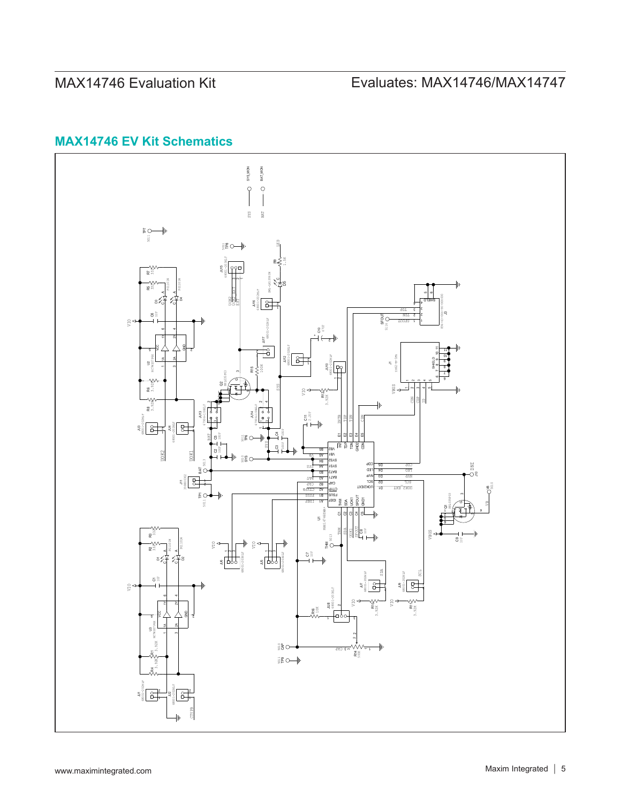# **MAX14746 EV Kit Schematics**

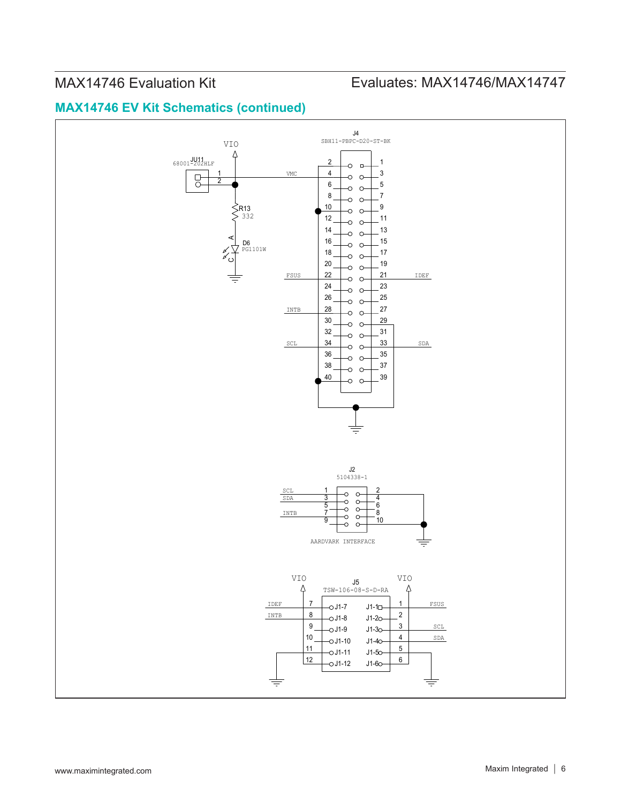# MAX14746 Evaluation Kit
Evaluation Evaluates: MAX14746/MAX14747

# **MAX14746 EV Kit Schematics (continued)**

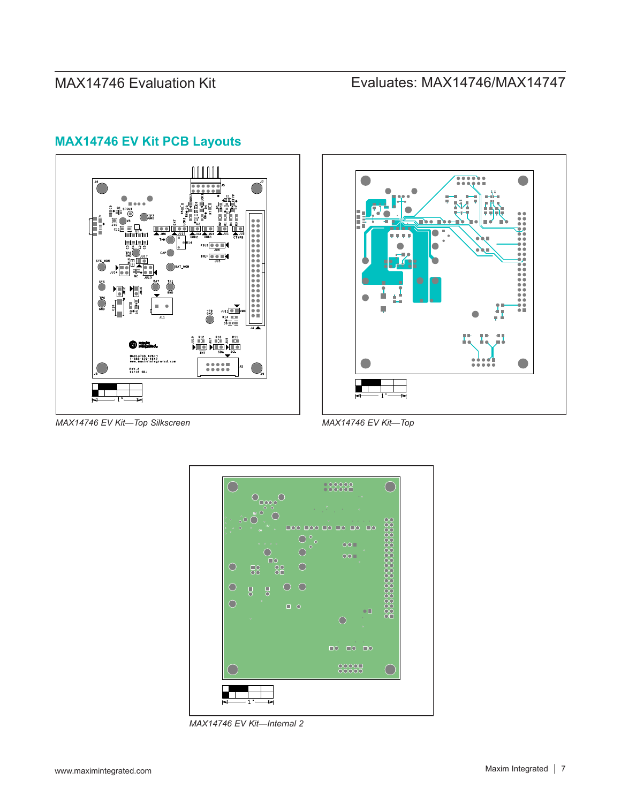# **MAX14746 EV Kit PCB Layouts**





*MAX14746 EV Kit—Top Silkscreen*

*MAX14746 EV Kit—Top*



*MAX14746 EV Kit—Internal 2*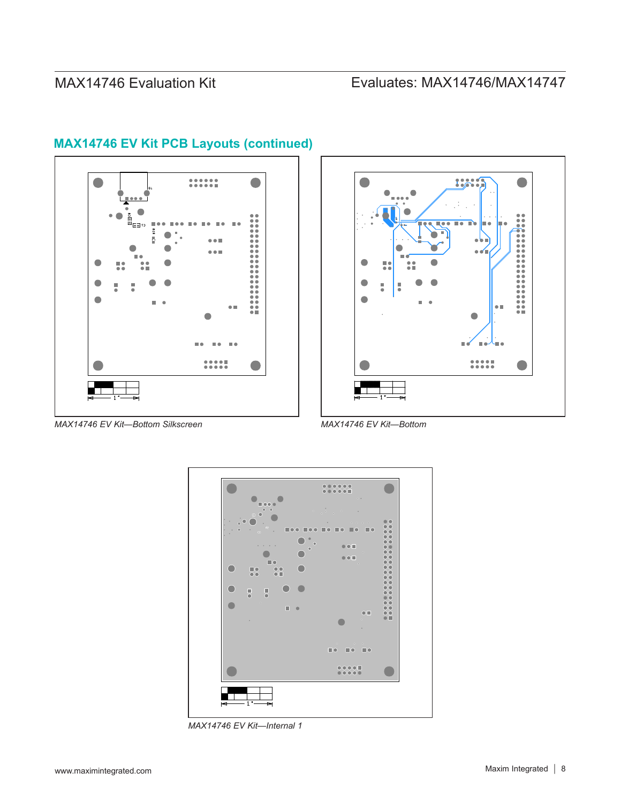# MAX14746 Evaluation Kit
Evaluates: MAX14746/MAX14747



## **MAX14746 EV Kit PCB Layouts (continued)**



*MAX14746 EV Kit—Bottom Silkscreen*





*MAX14746 EV Kit—Internal 1*